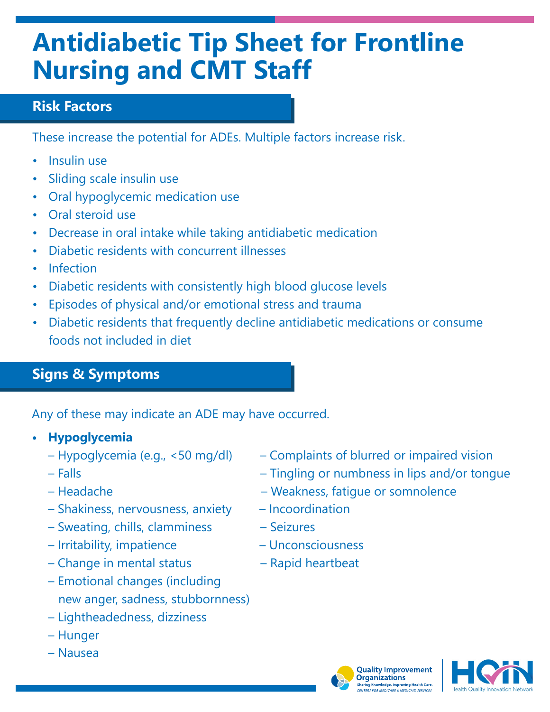# **Antidiabetic Tip Sheet for Frontline Nursing and CMT Staff**

### **Risk Factors**

These increase the potential for ADEs. Multiple factors increase risk.

- Insulin use
- Sliding scale insulin use
- Oral hypoglycemic medication use
- Oral steroid use
- Decrease in oral intake while taking antidiabetic medication
- Diabetic residents with concurrent illnesses
- Infection
- Diabetic residents with consistently high blood glucose levels
- Episodes of physical and/or emotional stress and trauma
- Diabetic residents that frequently decline antidiabetic medications or consume foods not included in diet

### **Signs & Symptoms**

Any of these may indicate an ADE may have occurred.

- **• Hypoglycemia**
	-
	-
	-
	- Shakiness, nervousness, anxiety Incoordination
	- Sweating, chills, clamminess Seizures
	- Irritability, impatience Unconsciousness
	- Change in mental status Rapid heartbeat
	- Emotional changes (including new anger, sadness, stubbornness)
	- Lightheadedness, dizziness
	- Hunger
	- Nausea
- Hypoglycemia (e.g., <50 mg/dl) Complaints of blurred or impaired vision
- Falls Tingling or numbness in lips and/or tongue
- Headache Weakness, fatigue or somnolence
	-
	-
	-
	-